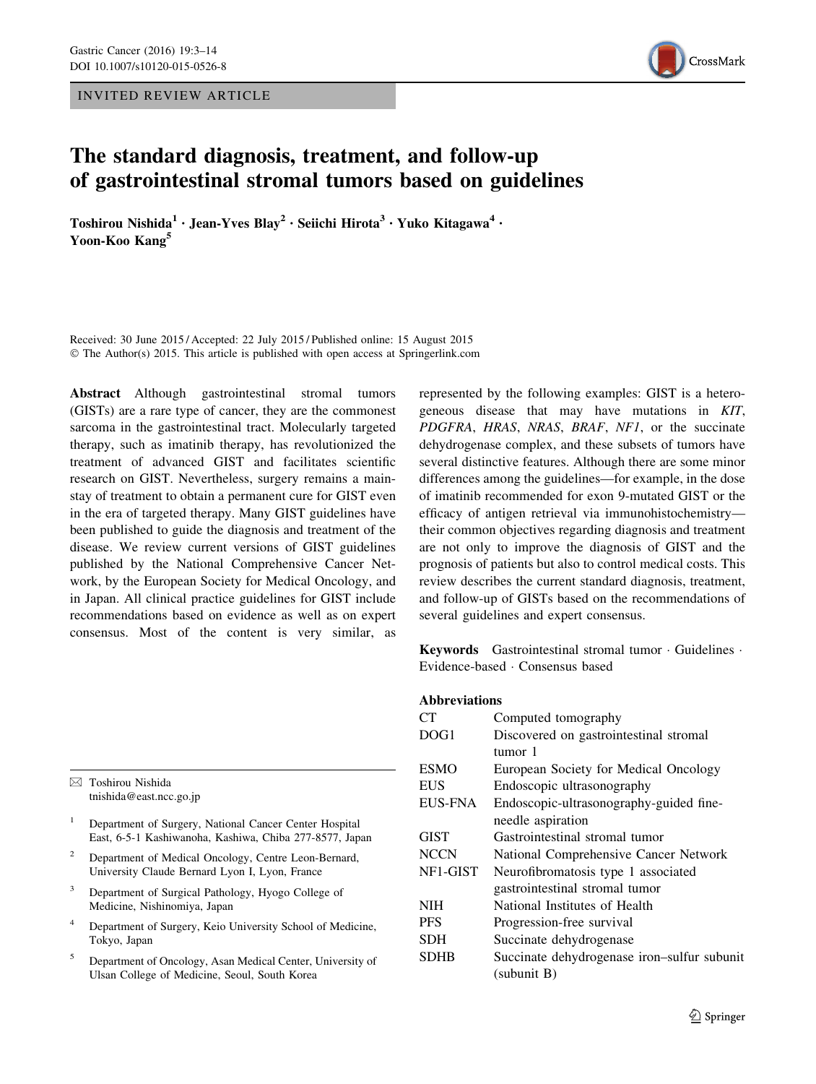INVITED REVIEW ARTICLE



# The standard diagnosis, treatment, and follow-up of gastrointestinal stromal tumors based on guidelines

Toshirou Nishida<sup>1</sup> · Jean-Yves Blay<sup>2</sup> · Seiichi Hirota<sup>3</sup> · Yuko Kitagawa<sup>4</sup> · Yoon-Koo Kang<sup>5</sup>

Received: 30 June 2015 / Accepted: 22 July 2015 / Published online: 15 August 2015 © The Author(s) 2015. This article is published with open access at Springerlink.com

Abstract Although gastrointestinal stromal tumors (GISTs) are a rare type of cancer, they are the commonest sarcoma in the gastrointestinal tract. Molecularly targeted therapy, such as imatinib therapy, has revolutionized the treatment of advanced GIST and facilitates scientific research on GIST. Nevertheless, surgery remains a mainstay of treatment to obtain a permanent cure for GIST even in the era of targeted therapy. Many GIST guidelines have been published to guide the diagnosis and treatment of the disease. We review current versions of GIST guidelines published by the National Comprehensive Cancer Network, by the European Society for Medical Oncology, and in Japan. All clinical practice guidelines for GIST include recommendations based on evidence as well as on expert consensus. Most of the content is very similar, as

 $\boxtimes$  Toshirou Nishida tnishida@east.ncc.go.jp

- <sup>1</sup> Department of Surgery, National Cancer Center Hospital East, 6-5-1 Kashiwanoha, Kashiwa, Chiba 277-8577, Japan
- <sup>2</sup> Department of Medical Oncology, Centre Leon-Bernard, University Claude Bernard Lyon I, Lyon, France
- <sup>3</sup> Department of Surgical Pathology, Hyogo College of Medicine, Nishinomiya, Japan
- <sup>4</sup> Department of Surgery, Keio University School of Medicine, Tokyo, Japan
- <sup>5</sup> Department of Oncology, Asan Medical Center, University of Ulsan College of Medicine, Seoul, South Korea

represented by the following examples: GIST is a heterogeneous disease that may have mutations in KIT, PDGFRA, HRAS, NRAS, BRAF, NF1, or the succinate dehydrogenase complex, and these subsets of tumors have several distinctive features. Although there are some minor differences among the guidelines—for example, in the dose of imatinib recommended for exon 9-mutated GIST or the efficacy of antigen retrieval via immunohistochemistry their common objectives regarding diagnosis and treatment are not only to improve the diagnosis of GIST and the prognosis of patients but also to control medical costs. This review describes the current standard diagnosis, treatment, and follow-up of GISTs based on the recommendations of several guidelines and expert consensus.

Keywords Gastrointestinal stromal tumor · Guidelines · Evidence-based - Consensus based

## Abbreviations

| CТ             | Computed tomography                         |  |  |
|----------------|---------------------------------------------|--|--|
| DOG1           | Discovered on gastrointestinal stromal      |  |  |
|                | tumor 1                                     |  |  |
| ESMO           | European Society for Medical Oncology       |  |  |
| <b>EUS</b>     | Endoscopic ultrasonography                  |  |  |
| <b>EUS-FNA</b> | Endoscopic-ultrasonography-guided fine-     |  |  |
|                | needle aspiration                           |  |  |
| GIST           | Gastrointestinal stromal tumor              |  |  |
| NCCN           | National Comprehensive Cancer Network       |  |  |
| NF1-GIST       | Neurofibromatosis type 1 associated         |  |  |
|                | gastrointestinal stromal tumor              |  |  |
| NIH            | National Institutes of Health               |  |  |
| PFS            | Progression-free survival                   |  |  |
| SDH            | Succinate dehydrogenase                     |  |  |
| SDHB           | Succinate dehydrogenase iron-sulfur subunit |  |  |
|                | (subunit B)                                 |  |  |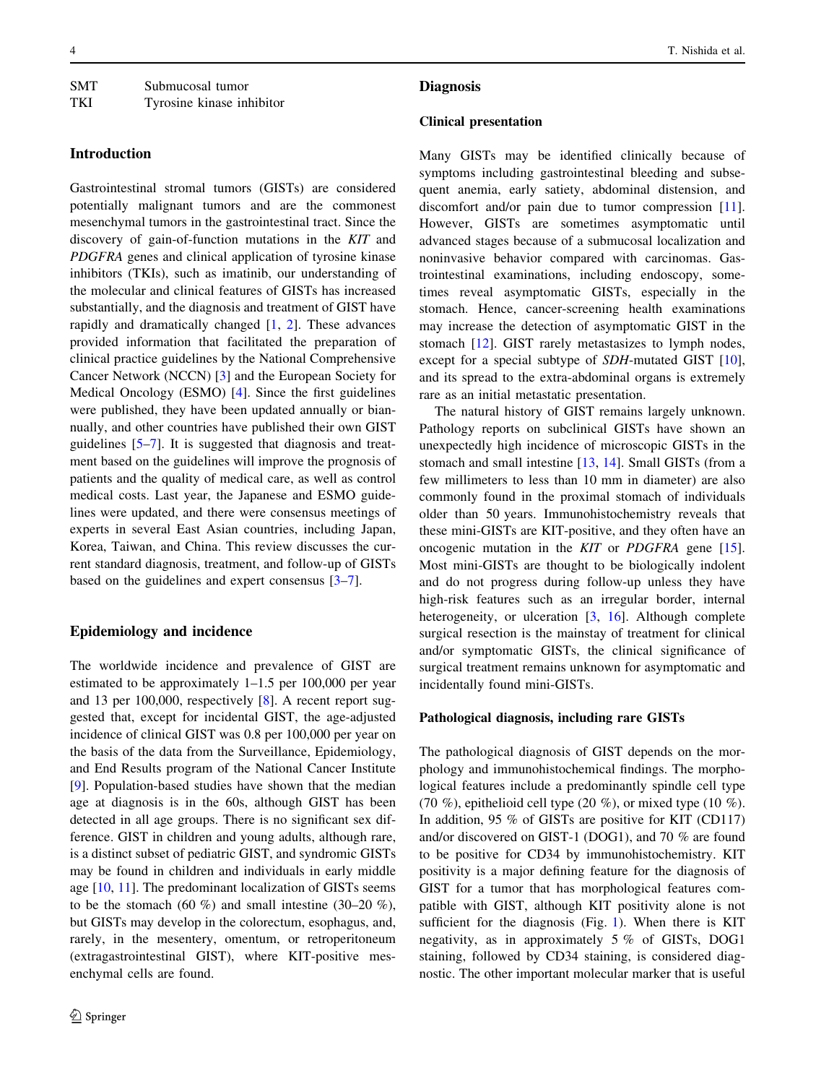| <b>SMT</b> | Submucosal tumor          |
|------------|---------------------------|
| <b>TKI</b> | Tyrosine kinase inhibitor |

# Introduction

Gastrointestinal stromal tumors (GISTs) are considered potentially malignant tumors and are the commonest mesenchymal tumors in the gastrointestinal tract. Since the discovery of gain-of-function mutations in the KIT and PDGFRA genes and clinical application of tyrosine kinase inhibitors (TKIs), such as imatinib, our understanding of the molecular and clinical features of GISTs has increased substantially, and the diagnosis and treatment of GIST have rapidly and dramatically changed [[1,](#page-8-0) [2](#page-8-0)]. These advances provided information that facilitated the preparation of clinical practice guidelines by the National Comprehensive Cancer Network (NCCN) [\[3](#page-8-0)] and the European Society for Medical Oncology (ESMO) [\[4](#page-9-0)]. Since the first guidelines were published, they have been updated annually or biannually, and other countries have published their own GIST guidelines [[5–7\]](#page-9-0). It is suggested that diagnosis and treatment based on the guidelines will improve the prognosis of patients and the quality of medical care, as well as control medical costs. Last year, the Japanese and ESMO guidelines were updated, and there were consensus meetings of experts in several East Asian countries, including Japan, Korea, Taiwan, and China. This review discusses the current standard diagnosis, treatment, and follow-up of GISTs based on the guidelines and expert consensus [[3–](#page-8-0)[7\]](#page-9-0).

# Epidemiology and incidence

The worldwide incidence and prevalence of GIST are estimated to be approximately 1–1.5 per 100,000 per year and 13 per 100,000, respectively [[8\]](#page-9-0). A recent report suggested that, except for incidental GIST, the age-adjusted incidence of clinical GIST was 0.8 per 100,000 per year on the basis of the data from the Surveillance, Epidemiology, and End Results program of the National Cancer Institute [\[9](#page-9-0)]. Population-based studies have shown that the median age at diagnosis is in the 60s, although GIST has been detected in all age groups. There is no significant sex difference. GIST in children and young adults, although rare, is a distinct subset of pediatric GIST, and syndromic GISTs may be found in children and individuals in early middle age  $[10, 11]$  $[10, 11]$  $[10, 11]$  $[10, 11]$ . The predominant localization of GISTs seems to be the stomach (60 %) and small intestine (30–20 %), but GISTs may develop in the colorectum, esophagus, and, rarely, in the mesentery, omentum, or retroperitoneum (extragastrointestinal GIST), where KIT-positive mesenchymal cells are found.

## **Diagnosis**

#### Clinical presentation

Many GISTs may be identified clinically because of symptoms including gastrointestinal bleeding and subsequent anemia, early satiety, abdominal distension, and discomfort and/or pain due to tumor compression [\[11](#page-9-0)]. However, GISTs are sometimes asymptomatic until advanced stages because of a submucosal localization and noninvasive behavior compared with carcinomas. Gastrointestinal examinations, including endoscopy, sometimes reveal asymptomatic GISTs, especially in the stomach. Hence, cancer-screening health examinations may increase the detection of asymptomatic GIST in the stomach [\[12](#page-9-0)]. GIST rarely metastasizes to lymph nodes, except for a special subtype of *SDH*-mutated GIST [\[10](#page-9-0)], and its spread to the extra-abdominal organs is extremely rare as an initial metastatic presentation.

The natural history of GIST remains largely unknown. Pathology reports on subclinical GISTs have shown an unexpectedly high incidence of microscopic GISTs in the stomach and small intestine [[13,](#page-9-0) [14](#page-9-0)]. Small GISTs (from a few millimeters to less than 10 mm in diameter) are also commonly found in the proximal stomach of individuals older than 50 years. Immunohistochemistry reveals that these mini-GISTs are KIT-positive, and they often have an oncogenic mutation in the KIT or PDGFRA gene [\[15](#page-9-0)]. Most mini-GISTs are thought to be biologically indolent and do not progress during follow-up unless they have high-risk features such as an irregular border, internal heterogeneity, or ulceration [[3,](#page-8-0) [16](#page-9-0)]. Although complete surgical resection is the mainstay of treatment for clinical and/or symptomatic GISTs, the clinical significance of surgical treatment remains unknown for asymptomatic and incidentally found mini-GISTs.

## Pathological diagnosis, including rare GISTs

The pathological diagnosis of GIST depends on the morphology and immunohistochemical findings. The morphological features include a predominantly spindle cell type (70 %), epithelioid cell type (20 %), or mixed type (10 %). In addition, 95 % of GISTs are positive for KIT (CD117) and/or discovered on GIST-1 (DOG1), and 70 % are found to be positive for CD34 by immunohistochemistry. KIT positivity is a major defining feature for the diagnosis of GIST for a tumor that has morphological features compatible with GIST, although KIT positivity alone is not sufficient for the diagnosis (Fig. [1\)](#page-2-0). When there is KIT negativity, as in approximately 5 % of GISTs, DOG1 staining, followed by CD34 staining, is considered diagnostic. The other important molecular marker that is useful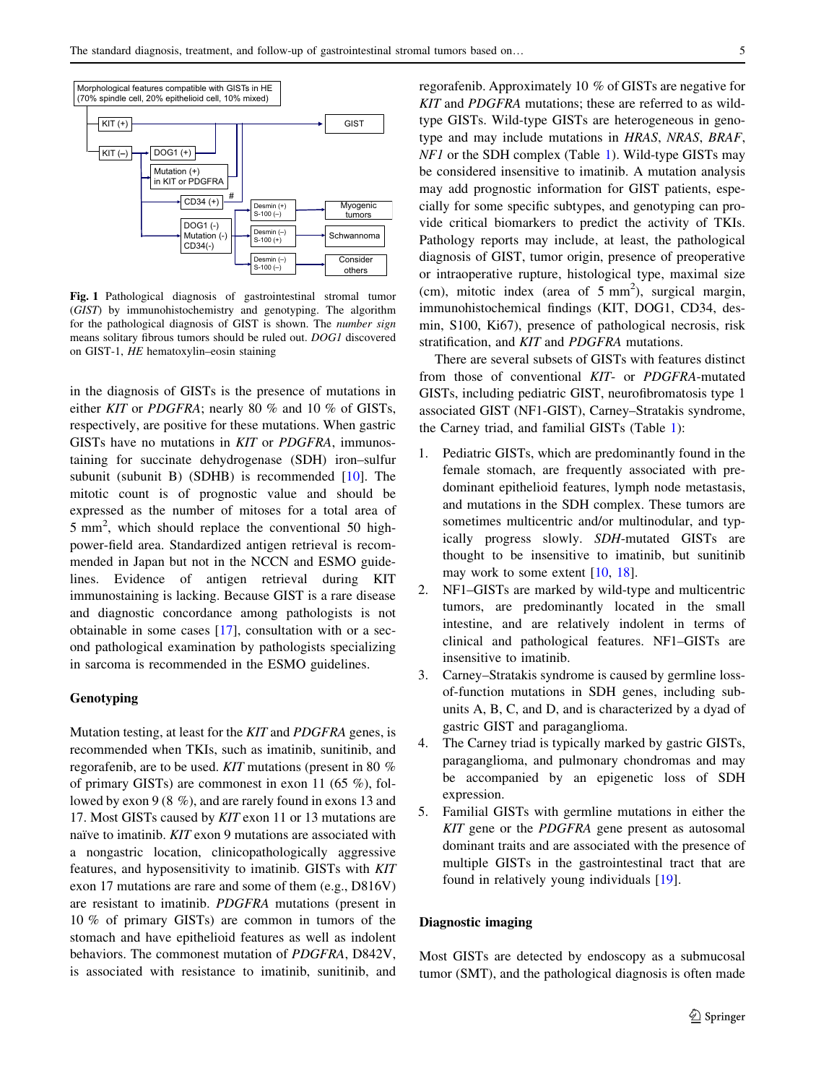<span id="page-2-0"></span>

Fig. 1 Pathological diagnosis of gastrointestinal stromal tumor (GIST) by immunohistochemistry and genotyping. The algorithm for the pathological diagnosis of GIST is shown. The *number sign* means solitary fibrous tumors should be ruled out. DOG1 discovered on GIST-1, HE hematoxylin–eosin staining

in the diagnosis of GISTs is the presence of mutations in either KIT or PDGFRA; nearly 80 % and 10 % of GISTs, respectively, are positive for these mutations. When gastric GISTs have no mutations in KIT or PDGFRA, immunostaining for succinate dehydrogenase (SDH) iron–sulfur subunit (subunit B) (SDHB) is recommended [[10\]](#page-9-0). The mitotic count is of prognostic value and should be expressed as the number of mitoses for a total area of 5 mm<sup>2</sup> , which should replace the conventional 50 highpower-field area. Standardized antigen retrieval is recommended in Japan but not in the NCCN and ESMO guidelines. Evidence of antigen retrieval during KIT immunostaining is lacking. Because GIST is a rare disease and diagnostic concordance among pathologists is not obtainable in some cases [\[17](#page-9-0)], consultation with or a second pathological examination by pathologists specializing in sarcoma is recommended in the ESMO guidelines.

## Genotyping

Mutation testing, at least for the KIT and PDGFRA genes, is recommended when TKIs, such as imatinib, sunitinib, and regorafenib, are to be used. KIT mutations (present in 80 % of primary GISTs) are commonest in exon 11 (65 %), followed by exon 9 (8 %), and are rarely found in exons 13 and 17. Most GISTs caused by KIT exon 11 or 13 mutations are naïve to imatinib. KIT exon 9 mutations are associated with a nongastric location, clinicopathologically aggressive features, and hyposensitivity to imatinib. GISTs with KIT exon 17 mutations are rare and some of them (e.g., D816V) are resistant to imatinib. PDGFRA mutations (present in 10 % of primary GISTs) are common in tumors of the stomach and have epithelioid features as well as indolent behaviors. The commonest mutation of PDGFRA, D842V, is associated with resistance to imatinib, sunitinib, and regorafenib. Approximately 10 % of GISTs are negative for KIT and PDGFRA mutations; these are referred to as wildtype GISTs. Wild-type GISTs are heterogeneous in genotype and may include mutations in HRAS, NRAS, BRAF, NF1 or the SDH complex (Table [1\)](#page-3-0). Wild-type GISTs may be considered insensitive to imatinib. A mutation analysis may add prognostic information for GIST patients, especially for some specific subtypes, and genotyping can provide critical biomarkers to predict the activity of TKIs. Pathology reports may include, at least, the pathological diagnosis of GIST, tumor origin, presence of preoperative or intraoperative rupture, histological type, maximal size (cm), mitotic index (area of  $5 \text{ mm}^2$ ), surgical margin, immunohistochemical findings (KIT, DOG1, CD34, desmin, S100, Ki67), presence of pathological necrosis, risk stratification, and KIT and PDGFRA mutations.

There are several subsets of GISTs with features distinct from those of conventional KIT- or PDGFRA-mutated GISTs, including pediatric GIST, neurofibromatosis type 1 associated GIST (NF1-GIST), Carney–Stratakis syndrome, the Carney triad, and familial GISTs (Table [1](#page-3-0)):

- 1. Pediatric GISTs, which are predominantly found in the female stomach, are frequently associated with predominant epithelioid features, lymph node metastasis, and mutations in the SDH complex. These tumors are sometimes multicentric and/or multinodular, and typically progress slowly. SDH-mutated GISTs are thought to be insensitive to imatinib, but sunitinib may work to some extent [\[10](#page-9-0), [18](#page-9-0)].
- 2. NF1–GISTs are marked by wild-type and multicentric tumors, are predominantly located in the small intestine, and are relatively indolent in terms of clinical and pathological features. NF1–GISTs are insensitive to imatinib.
- 3. Carney–Stratakis syndrome is caused by germline lossof-function mutations in SDH genes, including subunits A, B, C, and D, and is characterized by a dyad of gastric GIST and paraganglioma.
- 4. The Carney triad is typically marked by gastric GISTs, paraganglioma, and pulmonary chondromas and may be accompanied by an epigenetic loss of SDH expression.
- 5. Familial GISTs with germline mutations in either the KIT gene or the PDGFRA gene present as autosomal dominant traits and are associated with the presence of multiple GISTs in the gastrointestinal tract that are found in relatively young individuals [[19\]](#page-9-0).

# Diagnostic imaging

Most GISTs are detected by endoscopy as a submucosal tumor (SMT), and the pathological diagnosis is often made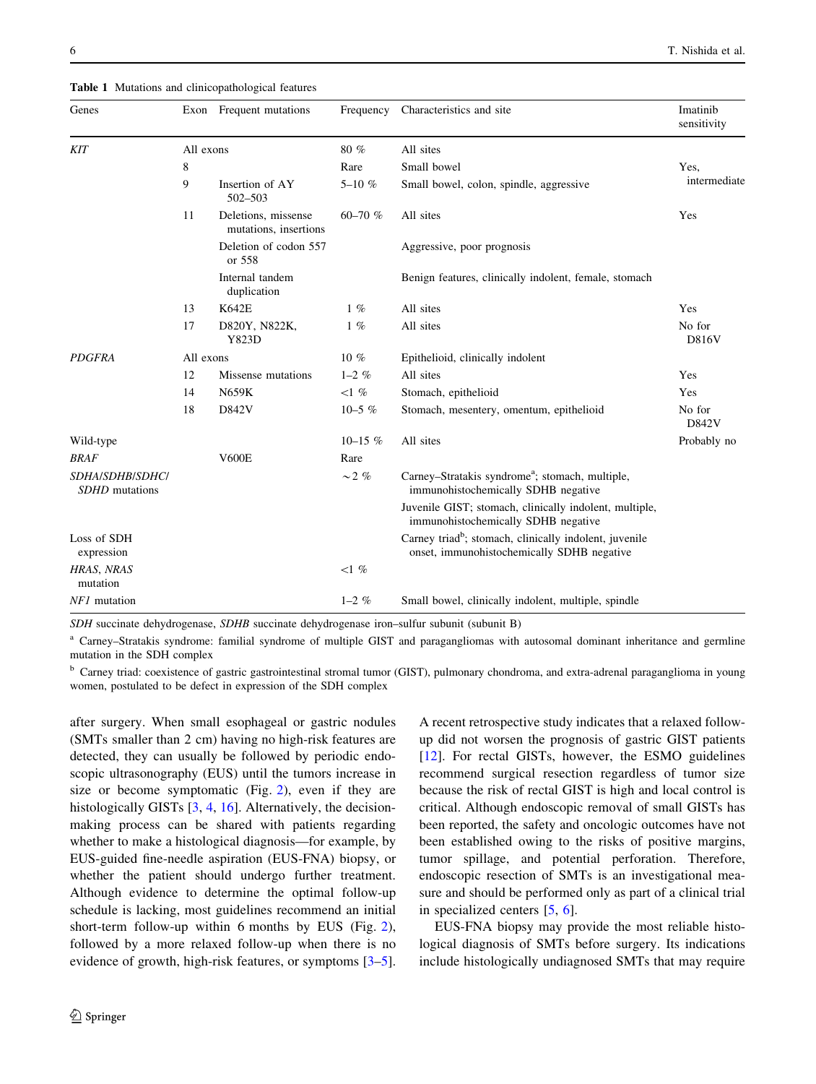<span id="page-3-0"></span>

| Genes                                           |           | Exon Frequent mutations                      | Frequency     | Characteristics and site                                                                                         | Imatinib<br>sensitivity |
|-------------------------------------------------|-----------|----------------------------------------------|---------------|------------------------------------------------------------------------------------------------------------------|-------------------------|
| <b>KIT</b>                                      | All exons |                                              | 80%           | All sites                                                                                                        |                         |
|                                                 | 8         |                                              | Rare          | Small bowel                                                                                                      | Yes.                    |
|                                                 | 9         | Insertion of AY<br>502-503                   | $5 - 10 \%$   | Small bowel, colon, spindle, aggressive                                                                          | intermediate            |
|                                                 | 11        | Deletions, missense<br>mutations, insertions | 60-70 $%$     | All sites                                                                                                        | Yes                     |
|                                                 |           | Deletion of codon 557<br>or 558              |               | Aggressive, poor prognosis                                                                                       |                         |
|                                                 |           | Internal tandem<br>duplication               |               | Benign features, clinically indolent, female, stomach                                                            |                         |
|                                                 | 13        | <b>K642E</b>                                 | $1\%$         | All sites                                                                                                        | Yes                     |
|                                                 | 17        | D820Y, N822K,<br>Y823D                       | $1\%$         | All sites                                                                                                        | No for<br>D816V         |
| <b>PDGFRA</b>                                   | All exons |                                              | $10\%$        | Epithelioid, clinically indolent                                                                                 |                         |
|                                                 | 12        | Missense mutations                           | $1 - 2\%$     | All sites                                                                                                        | Yes                     |
|                                                 | 14        | N659K                                        | $<1$ %        | Stomach, epithelioid                                                                                             | Yes                     |
|                                                 | 18        | D842V                                        | $10-5$ %      | Stomach, mesentery, omentum, epithelioid                                                                         | No for<br>D842V         |
| Wild-type                                       |           |                                              | $10 - 15$ %   | All sites                                                                                                        | Probably no             |
| <b>BRAF</b>                                     |           | <b>V600E</b>                                 | Rare          |                                                                                                                  |                         |
| <b>SDHA/SDHB/SDHC/</b><br><b>SDHD</b> mutations |           |                                              | $\sim$ 2 $\%$ | Carney-Stratakis syndrome <sup>a</sup> ; stomach, multiple,<br>immunohistochemically SDHB negative               |                         |
|                                                 |           |                                              |               | Juvenile GIST; stomach, clinically indolent, multiple,<br>immunohistochemically SDHB negative                    |                         |
| Loss of SDH<br>expression                       |           |                                              |               | Carney triad <sup>b</sup> ; stomach, clinically indolent, juvenile<br>onset, immunohistochemically SDHB negative |                         |
| HRAS, NRAS<br>mutation                          |           |                                              | $<1$ %        |                                                                                                                  |                         |
| NF1 mutation                                    |           |                                              | $1 - 2\%$     | Small bowel, clinically indolent, multiple, spindle                                                              |                         |

SDH succinate dehydrogenase, SDHB succinate dehydrogenase iron–sulfur subunit (subunit B)

<sup>a</sup> Carney–Stratakis syndrome: familial syndrome of multiple GIST and paragangliomas with autosomal dominant inheritance and germline mutation in the SDH complex

<sup>b</sup> Carney triad: coexistence of gastric gastrointestinal stromal tumor (GIST), pulmonary chondroma, and extra-adrenal paraganglioma in young women, postulated to be defect in expression of the SDH complex

after surgery. When small esophageal or gastric nodules (SMTs smaller than 2 cm) having no high-risk features are detected, they can usually be followed by periodic endoscopic ultrasonography (EUS) until the tumors increase in size or become symptomatic (Fig. [2](#page-4-0)), even if they are histologically GISTs [\[3](#page-8-0), [4,](#page-9-0) [16\]](#page-9-0). Alternatively, the decisionmaking process can be shared with patients regarding whether to make a histological diagnosis—for example, by EUS-guided fine-needle aspiration (EUS-FNA) biopsy, or whether the patient should undergo further treatment. Although evidence to determine the optimal follow-up schedule is lacking, most guidelines recommend an initial short-term follow-up within 6 months by EUS (Fig. [2](#page-4-0)), followed by a more relaxed follow-up when there is no evidence of growth, high-risk features, or symptoms [\[3](#page-8-0)[–5](#page-9-0)].

A recent retrospective study indicates that a relaxed followup did not worsen the prognosis of gastric GIST patients [\[12](#page-9-0)]. For rectal GISTs, however, the ESMO guidelines recommend surgical resection regardless of tumor size because the risk of rectal GIST is high and local control is critical. Although endoscopic removal of small GISTs has been reported, the safety and oncologic outcomes have not been established owing to the risks of positive margins, tumor spillage, and potential perforation. Therefore, endoscopic resection of SMTs is an investigational measure and should be performed only as part of a clinical trial in specialized centers [\[5](#page-9-0), [6](#page-9-0)].

EUS-FNA biopsy may provide the most reliable histological diagnosis of SMTs before surgery. Its indications include histologically undiagnosed SMTs that may require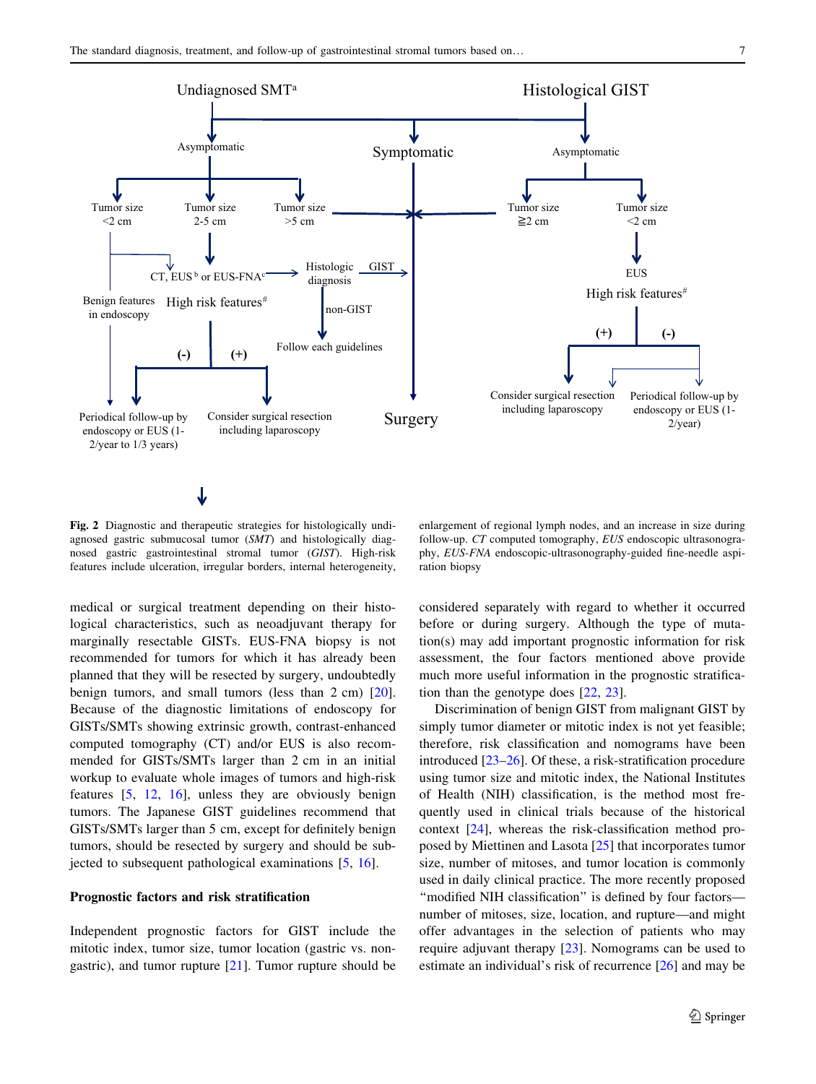<span id="page-4-0"></span>

Fig. 2 Diagnostic and therapeutic strategies for histologically undiagnosed gastric submucosal tumor (SMT) and histologically diagnosed gastric gastrointestinal stromal tumor (GIST). High-risk features include ulceration, irregular borders, internal heterogeneity,

enlargement of regional lymph nodes, and an increase in size during follow-up. CT computed tomography, EUS endoscopic ultrasonography, EUS-FNA endoscopic-ultrasonography-guided fine-needle aspiration biopsy

medical or surgical treatment depending on their histological characteristics, such as neoadjuvant therapy for marginally resectable GISTs. EUS-FNA biopsy is not recommended for tumors for which it has already been planned that they will be resected by surgery, undoubtedly benign tumors, and small tumors (less than 2 cm) [\[20](#page-9-0)]. Because of the diagnostic limitations of endoscopy for GISTs/SMTs showing extrinsic growth, contrast-enhanced computed tomography (CT) and/or EUS is also recommended for GISTs/SMTs larger than 2 cm in an initial workup to evaluate whole images of tumors and high-risk features [[5,](#page-9-0) [12](#page-9-0), [16](#page-9-0)], unless they are obviously benign tumors. The Japanese GIST guidelines recommend that GISTs/SMTs larger than 5 cm, except for definitely benign tumors, should be resected by surgery and should be subjected to subsequent pathological examinations [\[5](#page-9-0), [16\]](#page-9-0).

# Prognostic factors and risk stratification

Independent prognostic factors for GIST include the mitotic index, tumor size, tumor location (gastric vs. nongastric), and tumor rupture  $[21]$  $[21]$ . Tumor rupture should be considered separately with regard to whether it occurred before or during surgery. Although the type of mutation(s) may add important prognostic information for risk assessment, the four factors mentioned above provide much more useful information in the prognostic stratification than the genotype does [\[22](#page-9-0), [23\]](#page-9-0).

Discrimination of benign GIST from malignant GIST by simply tumor diameter or mitotic index is not yet feasible; therefore, risk classification and nomograms have been introduced [[23–26\]](#page-9-0). Of these, a risk-stratification procedure using tumor size and mitotic index, the National Institutes of Health (NIH) classification, is the method most frequently used in clinical trials because of the historical context [[24](#page-9-0)], whereas the risk-classification method proposed by Miettinen and Lasota [\[25](#page-9-0)] that incorporates tumor size, number of mitoses, and tumor location is commonly used in daily clinical practice. The more recently proposed "modified NIH classification" is defined by four factorsnumber of mitoses, size, location, and rupture—and might offer advantages in the selection of patients who may require adjuvant therapy [[23\]](#page-9-0). Nomograms can be used to estimate an individual's risk of recurrence [[26\]](#page-9-0) and may be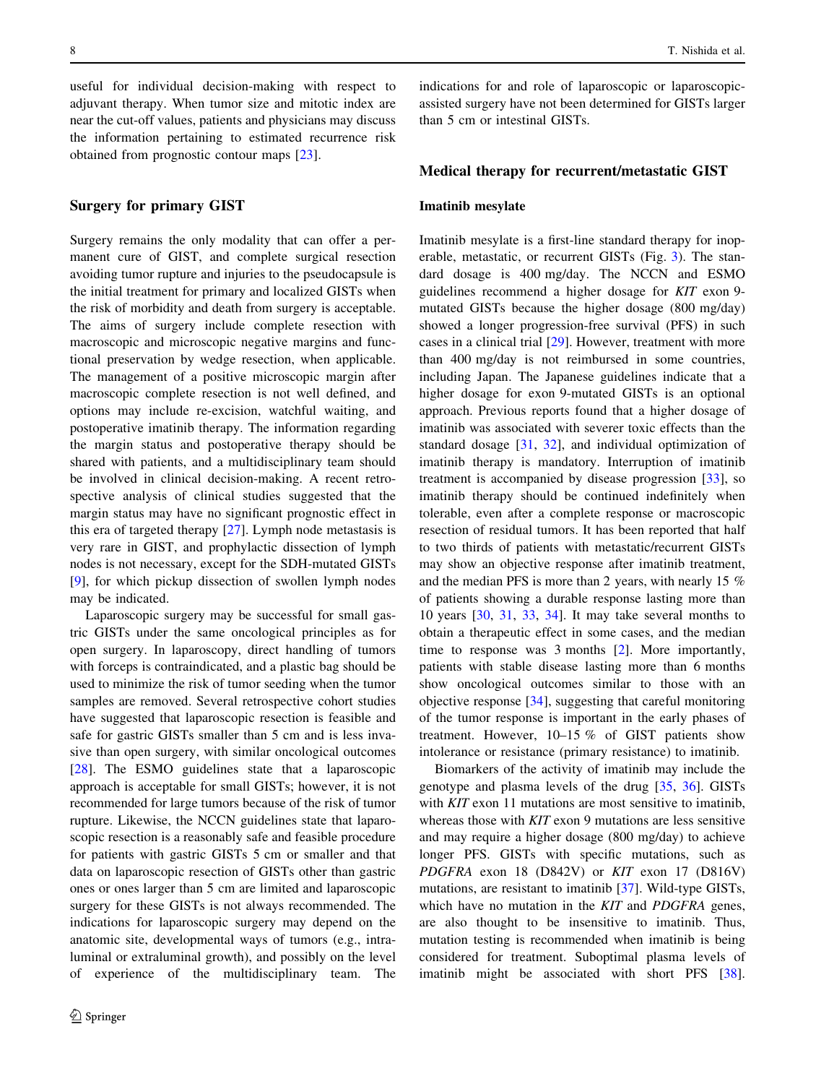useful for individual decision-making with respect to adjuvant therapy. When tumor size and mitotic index are near the cut-off values, patients and physicians may discuss the information pertaining to estimated recurrence risk obtained from prognostic contour maps [[23\]](#page-9-0).

# Surgery for primary GIST

Surgery remains the only modality that can offer a permanent cure of GIST, and complete surgical resection avoiding tumor rupture and injuries to the pseudocapsule is the initial treatment for primary and localized GISTs when the risk of morbidity and death from surgery is acceptable. The aims of surgery include complete resection with macroscopic and microscopic negative margins and functional preservation by wedge resection, when applicable. The management of a positive microscopic margin after macroscopic complete resection is not well defined, and options may include re-excision, watchful waiting, and postoperative imatinib therapy. The information regarding the margin status and postoperative therapy should be shared with patients, and a multidisciplinary team should be involved in clinical decision-making. A recent retrospective analysis of clinical studies suggested that the margin status may have no significant prognostic effect in this era of targeted therapy [[27\]](#page-9-0). Lymph node metastasis is very rare in GIST, and prophylactic dissection of lymph nodes is not necessary, except for the SDH-mutated GISTs [\[9](#page-9-0)], for which pickup dissection of swollen lymph nodes may be indicated.

Laparoscopic surgery may be successful for small gastric GISTs under the same oncological principles as for open surgery. In laparoscopy, direct handling of tumors with forceps is contraindicated, and a plastic bag should be used to minimize the risk of tumor seeding when the tumor samples are removed. Several retrospective cohort studies have suggested that laparoscopic resection is feasible and safe for gastric GISTs smaller than 5 cm and is less invasive than open surgery, with similar oncological outcomes [\[28](#page-9-0)]. The ESMO guidelines state that a laparoscopic approach is acceptable for small GISTs; however, it is not recommended for large tumors because of the risk of tumor rupture. Likewise, the NCCN guidelines state that laparoscopic resection is a reasonably safe and feasible procedure for patients with gastric GISTs 5 cm or smaller and that data on laparoscopic resection of GISTs other than gastric ones or ones larger than 5 cm are limited and laparoscopic surgery for these GISTs is not always recommended. The indications for laparoscopic surgery may depend on the anatomic site, developmental ways of tumors (e.g., intraluminal or extraluminal growth), and possibly on the level of experience of the multidisciplinary team. The indications for and role of laparoscopic or laparoscopicassisted surgery have not been determined for GISTs larger than 5 cm or intestinal GISTs.

# Medical therapy for recurrent/metastatic GIST

#### Imatinib mesylate

Imatinib mesylate is a first-line standard therapy for inoperable, metastatic, or recurrent GISTs (Fig. [3](#page-6-0)). The standard dosage is 400 mg/day. The NCCN and ESMO guidelines recommend a higher dosage for KIT exon 9 mutated GISTs because the higher dosage (800 mg/day) showed a longer progression-free survival (PFS) in such cases in a clinical trial [\[29](#page-9-0)]. However, treatment with more than 400 mg/day is not reimbursed in some countries, including Japan. The Japanese guidelines indicate that a higher dosage for exon 9-mutated GISTs is an optional approach. Previous reports found that a higher dosage of imatinib was associated with severer toxic effects than the standard dosage [[31,](#page-9-0) [32\]](#page-10-0), and individual optimization of imatinib therapy is mandatory. Interruption of imatinib treatment is accompanied by disease progression [[33\]](#page-10-0), so imatinib therapy should be continued indefinitely when tolerable, even after a complete response or macroscopic resection of residual tumors. It has been reported that half to two thirds of patients with metastatic/recurrent GISTs may show an objective response after imatinib treatment, and the median PFS is more than 2 years, with nearly 15 % of patients showing a durable response lasting more than 10 years [[30,](#page-9-0) [31,](#page-9-0) [33](#page-10-0), [34\]](#page-10-0). It may take several months to obtain a therapeutic effect in some cases, and the median time to response was 3 months [\[2](#page-8-0)]. More importantly, patients with stable disease lasting more than 6 months show oncological outcomes similar to those with an objective response [[34\]](#page-10-0), suggesting that careful monitoring of the tumor response is important in the early phases of treatment. However, 10–15 % of GIST patients show intolerance or resistance (primary resistance) to imatinib.

Biomarkers of the activity of imatinib may include the genotype and plasma levels of the drug [\[35](#page-10-0), [36](#page-10-0)]. GISTs with *KIT* exon 11 mutations are most sensitive to imatinib, whereas those with KIT exon 9 mutations are less sensitive and may require a higher dosage (800 mg/day) to achieve longer PFS. GISTs with specific mutations, such as PDGFRA exon 18 (D842V) or KIT exon 17 (D816V) mutations, are resistant to imatinib [\[37](#page-10-0)]. Wild-type GISTs, which have no mutation in the *KIT* and *PDGFRA* genes, are also thought to be insensitive to imatinib. Thus, mutation testing is recommended when imatinib is being considered for treatment. Suboptimal plasma levels of imatinib might be associated with short PFS [\[38](#page-10-0)].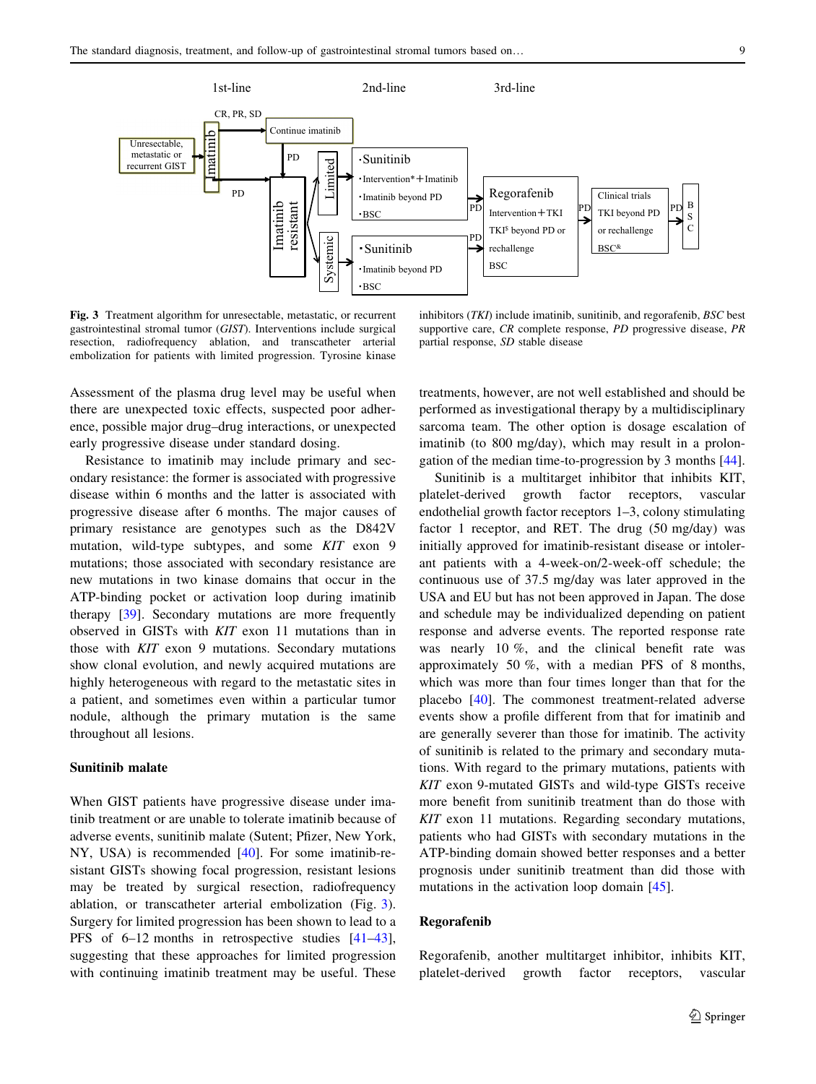<span id="page-6-0"></span>

Fig. 3 Treatment algorithm for unresectable, metastatic, or recurrent gastrointestinal stromal tumor (GIST). Interventions include surgical resection, radiofrequency ablation, and transcatheter arterial embolization for patients with limited progression. Tyrosine kinase

inhibitors (TKI) include imatinib, sunitinib, and regorafenib, BSC best supportive care, CR complete response, PD progressive disease, PR partial response, SD stable disease

Assessment of the plasma drug level may be useful when there are unexpected toxic effects, suspected poor adherence, possible major drug–drug interactions, or unexpected early progressive disease under standard dosing.

Resistance to imatinib may include primary and secondary resistance: the former is associated with progressive disease within 6 months and the latter is associated with progressive disease after 6 months. The major causes of primary resistance are genotypes such as the D842V mutation, wild-type subtypes, and some KIT exon 9 mutations; those associated with secondary resistance are new mutations in two kinase domains that occur in the ATP-binding pocket or activation loop during imatinib therapy [[39\]](#page-10-0). Secondary mutations are more frequently observed in GISTs with KIT exon 11 mutations than in those with KIT exon 9 mutations. Secondary mutations show clonal evolution, and newly acquired mutations are highly heterogeneous with regard to the metastatic sites in a patient, and sometimes even within a particular tumor nodule, although the primary mutation is the same throughout all lesions.

# Sunitinib malate

When GIST patients have progressive disease under imatinib treatment or are unable to tolerate imatinib because of adverse events, sunitinib malate (Sutent; Pfizer, New York, NY, USA) is recommended [\[40](#page-10-0)]. For some imatinib-resistant GISTs showing focal progression, resistant lesions may be treated by surgical resection, radiofrequency ablation, or transcatheter arterial embolization (Fig. 3). Surgery for limited progression has been shown to lead to a PFS of 6–12 months in retrospective studies [\[41–43](#page-10-0)], suggesting that these approaches for limited progression with continuing imatinib treatment may be useful. These treatments, however, are not well established and should be performed as investigational therapy by a multidisciplinary sarcoma team. The other option is dosage escalation of imatinib (to 800 mg/day), which may result in a prolongation of the median time-to-progression by 3 months [\[44](#page-10-0)].

Sunitinib is a multitarget inhibitor that inhibits KIT, platelet-derived growth factor receptors, vascular endothelial growth factor receptors 1–3, colony stimulating factor 1 receptor, and RET. The drug (50 mg/day) was initially approved for imatinib-resistant disease or intolerant patients with a 4-week-on/2-week-off schedule; the continuous use of 37.5 mg/day was later approved in the USA and EU but has not been approved in Japan. The dose and schedule may be individualized depending on patient response and adverse events. The reported response rate was nearly 10 %, and the clinical benefit rate was approximately 50 %, with a median PFS of 8 months, which was more than four times longer than that for the placebo [\[40](#page-10-0)]. The commonest treatment-related adverse events show a profile different from that for imatinib and are generally severer than those for imatinib. The activity of sunitinib is related to the primary and secondary mutations. With regard to the primary mutations, patients with KIT exon 9-mutated GISTs and wild-type GISTs receive more benefit from sunitinib treatment than do those with KIT exon 11 mutations. Regarding secondary mutations, patients who had GISTs with secondary mutations in the ATP-binding domain showed better responses and a better prognosis under sunitinib treatment than did those with mutations in the activation loop domain [\[45](#page-10-0)].

## Regorafenib

Regorafenib, another multitarget inhibitor, inhibits KIT, platelet-derived growth factor receptors, vascular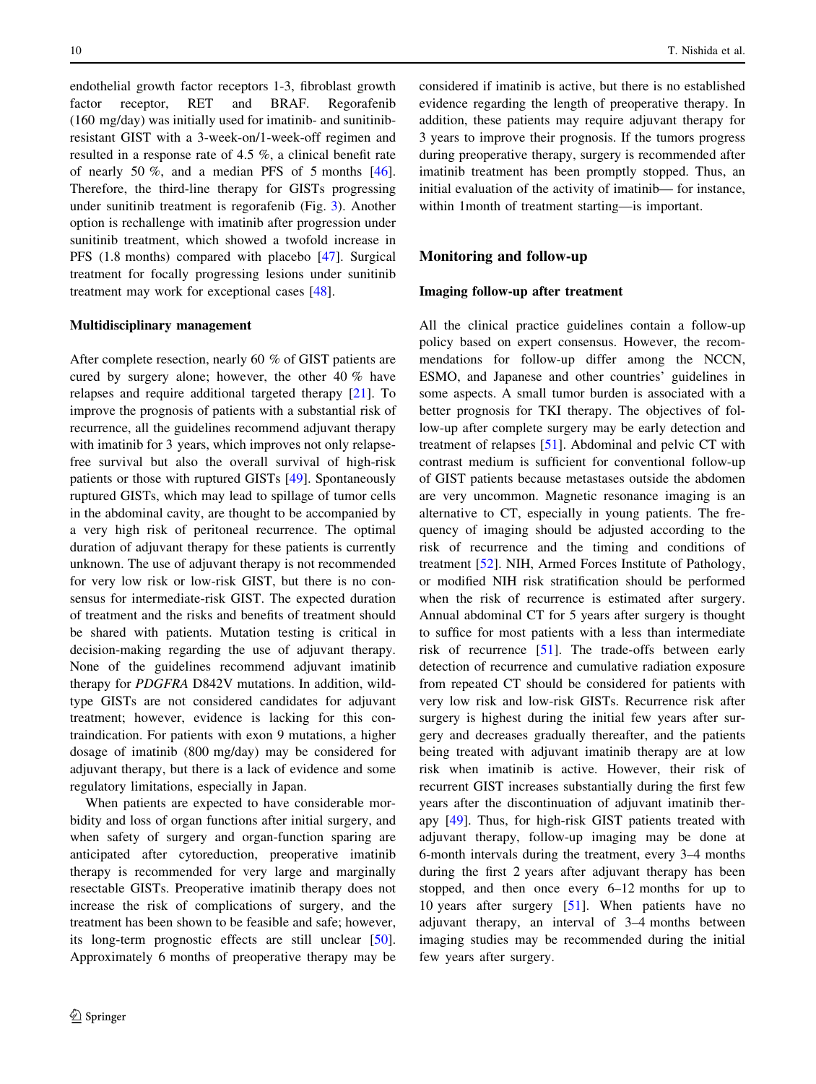endothelial growth factor receptors 1-3, fibroblast growth factor receptor, RET and BRAF. Regorafenib (160 mg/day) was initially used for imatinib- and sunitinibresistant GIST with a 3-week-on/1-week-off regimen and resulted in a response rate of 4.5 %, a clinical benefit rate of nearly 50 %, and a median PFS of 5 months [\[46](#page-10-0)]. Therefore, the third-line therapy for GISTs progressing under sunitinib treatment is regorafenib (Fig. [3\)](#page-6-0). Another option is rechallenge with imatinib after progression under sunitinib treatment, which showed a twofold increase in PFS (1.8 months) compared with placebo [\[47](#page-10-0)]. Surgical treatment for focally progressing lesions under sunitinib treatment may work for exceptional cases [\[48\]](#page-10-0).

## Multidisciplinary management

After complete resection, nearly 60 % of GIST patients are cured by surgery alone; however, the other 40 % have relapses and require additional targeted therapy [[21\]](#page-9-0). To improve the prognosis of patients with a substantial risk of recurrence, all the guidelines recommend adjuvant therapy with imatinib for 3 years, which improves not only relapsefree survival but also the overall survival of high-risk patients or those with ruptured GISTs [\[49](#page-10-0)]. Spontaneously ruptured GISTs, which may lead to spillage of tumor cells in the abdominal cavity, are thought to be accompanied by a very high risk of peritoneal recurrence. The optimal duration of adjuvant therapy for these patients is currently unknown. The use of adjuvant therapy is not recommended for very low risk or low-risk GIST, but there is no consensus for intermediate-risk GIST. The expected duration of treatment and the risks and benefits of treatment should be shared with patients. Mutation testing is critical in decision-making regarding the use of adjuvant therapy. None of the guidelines recommend adjuvant imatinib therapy for PDGFRA D842V mutations. In addition, wildtype GISTs are not considered candidates for adjuvant treatment; however, evidence is lacking for this contraindication. For patients with exon 9 mutations, a higher dosage of imatinib (800 mg/day) may be considered for adjuvant therapy, but there is a lack of evidence and some regulatory limitations, especially in Japan.

When patients are expected to have considerable morbidity and loss of organ functions after initial surgery, and when safety of surgery and organ-function sparing are anticipated after cytoreduction, preoperative imatinib therapy is recommended for very large and marginally resectable GISTs. Preoperative imatinib therapy does not increase the risk of complications of surgery, and the treatment has been shown to be feasible and safe; however, its long-term prognostic effects are still unclear [\[50](#page-10-0)]. Approximately 6 months of preoperative therapy may be considered if imatinib is active, but there is no established evidence regarding the length of preoperative therapy. In addition, these patients may require adjuvant therapy for 3 years to improve their prognosis. If the tumors progress during preoperative therapy, surgery is recommended after imatinib treatment has been promptly stopped. Thus, an initial evaluation of the activity of imatinib— for instance, within 1month of treatment starting—is important.

# Monitoring and follow-up

## Imaging follow-up after treatment

All the clinical practice guidelines contain a follow-up policy based on expert consensus. However, the recommendations for follow-up differ among the NCCN, ESMO, and Japanese and other countries' guidelines in some aspects. A small tumor burden is associated with a better prognosis for TKI therapy. The objectives of follow-up after complete surgery may be early detection and treatment of relapses [[51\]](#page-10-0). Abdominal and pelvic CT with contrast medium is sufficient for conventional follow-up of GIST patients because metastases outside the abdomen are very uncommon. Magnetic resonance imaging is an alternative to CT, especially in young patients. The frequency of imaging should be adjusted according to the risk of recurrence and the timing and conditions of treatment [[52\]](#page-10-0). NIH, Armed Forces Institute of Pathology, or modified NIH risk stratification should be performed when the risk of recurrence is estimated after surgery. Annual abdominal CT for 5 years after surgery is thought to suffice for most patients with a less than intermediate risk of recurrence [[51\]](#page-10-0). The trade-offs between early detection of recurrence and cumulative radiation exposure from repeated CT should be considered for patients with very low risk and low-risk GISTs. Recurrence risk after surgery is highest during the initial few years after surgery and decreases gradually thereafter, and the patients being treated with adjuvant imatinib therapy are at low risk when imatinib is active. However, their risk of recurrent GIST increases substantially during the first few years after the discontinuation of adjuvant imatinib therapy [\[49](#page-10-0)]. Thus, for high-risk GIST patients treated with adjuvant therapy, follow-up imaging may be done at 6-month intervals during the treatment, every 3–4 months during the first 2 years after adjuvant therapy has been stopped, and then once every 6–12 months for up to 10 years after surgery [[51\]](#page-10-0). When patients have no adjuvant therapy, an interval of 3–4 months between imaging studies may be recommended during the initial few years after surgery.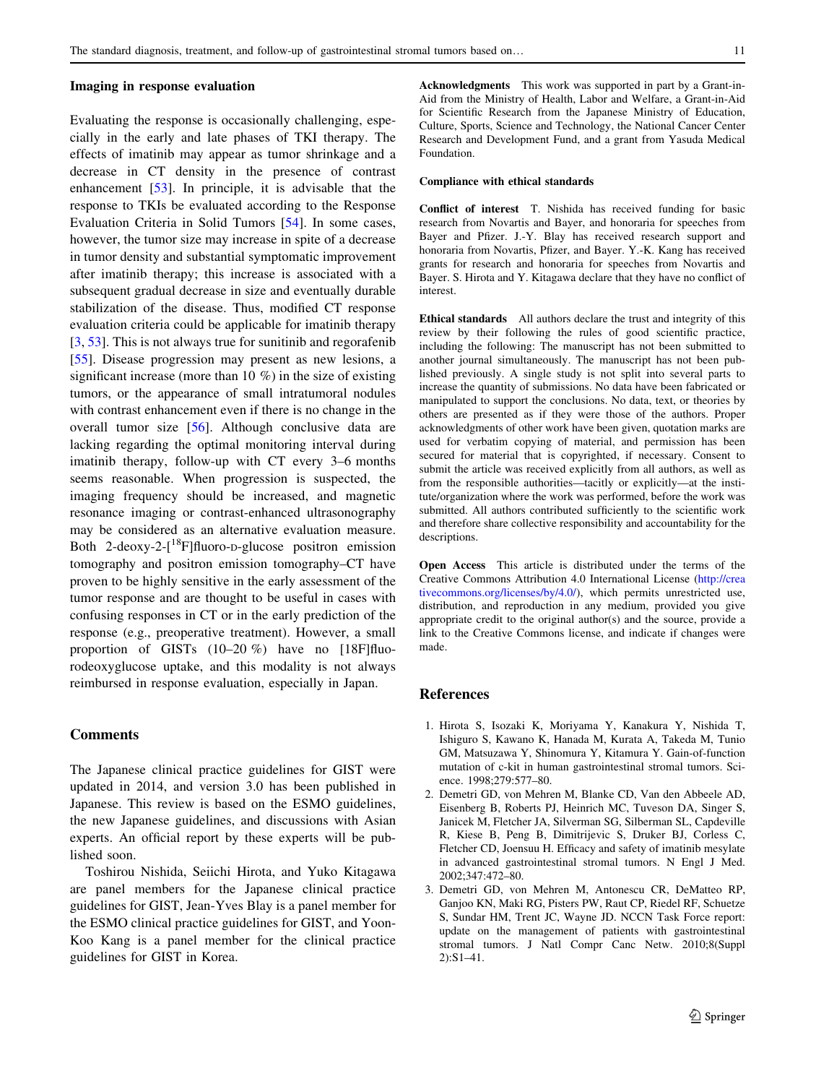#### <span id="page-8-0"></span>Imaging in response evaluation

Evaluating the response is occasionally challenging, especially in the early and late phases of TKI therapy. The effects of imatinib may appear as tumor shrinkage and a decrease in CT density in the presence of contrast enhancement [[53\]](#page-10-0). In principle, it is advisable that the response to TKIs be evaluated according to the Response Evaluation Criteria in Solid Tumors [\[54](#page-11-0)]. In some cases, however, the tumor size may increase in spite of a decrease in tumor density and substantial symptomatic improvement after imatinib therapy; this increase is associated with a subsequent gradual decrease in size and eventually durable stabilization of the disease. Thus, modified CT response evaluation criteria could be applicable for imatinib therapy [3, [53](#page-10-0)]. This is not always true for sunitinib and regorafenib [\[55](#page-11-0)]. Disease progression may present as new lesions, a significant increase (more than 10 %) in the size of existing tumors, or the appearance of small intratumoral nodules with contrast enhancement even if there is no change in the overall tumor size [[56\]](#page-11-0). Although conclusive data are lacking regarding the optimal monitoring interval during imatinib therapy, follow-up with CT every 3–6 months seems reasonable. When progression is suspected, the imaging frequency should be increased, and magnetic resonance imaging or contrast-enhanced ultrasonography may be considered as an alternative evaluation measure. Both 2-deoxy-2- $\left[^{18}F\right]$ fluoro-D-glucose positron emission tomography and positron emission tomography–CT have proven to be highly sensitive in the early assessment of the tumor response and are thought to be useful in cases with confusing responses in CT or in the early prediction of the response (e.g., preoperative treatment). However, a small proportion of GISTs (10–20 %) have no [18F]fluorodeoxyglucose uptake, and this modality is not always reimbursed in response evaluation, especially in Japan.

# **Comments**

The Japanese clinical practice guidelines for GIST were updated in 2014, and version 3.0 has been published in Japanese. This review is based on the ESMO guidelines, the new Japanese guidelines, and discussions with Asian experts. An official report by these experts will be published soon.

Toshirou Nishida, Seiichi Hirota, and Yuko Kitagawa are panel members for the Japanese clinical practice guidelines for GIST, Jean-Yves Blay is a panel member for the ESMO clinical practice guidelines for GIST, and Yoon-Koo Kang is a panel member for the clinical practice guidelines for GIST in Korea.

Acknowledgments This work was supported in part by a Grant-in-Aid from the Ministry of Health, Labor and Welfare, a Grant-in-Aid for Scientific Research from the Japanese Ministry of Education, Culture, Sports, Science and Technology, the National Cancer Center Research and Development Fund, and a grant from Yasuda Medical Foundation.

#### Compliance with ethical standards

Conflict of interest T. Nishida has received funding for basic research from Novartis and Bayer, and honoraria for speeches from Bayer and Pfizer. J.-Y. Blay has received research support and honoraria from Novartis, Pfizer, and Bayer. Y.-K. Kang has received grants for research and honoraria for speeches from Novartis and Bayer. S. Hirota and Y. Kitagawa declare that they have no conflict of interest.

Ethical standards All authors declare the trust and integrity of this review by their following the rules of good scientific practice, including the following: The manuscript has not been submitted to another journal simultaneously. The manuscript has not been published previously. A single study is not split into several parts to increase the quantity of submissions. No data have been fabricated or manipulated to support the conclusions. No data, text, or theories by others are presented as if they were those of the authors. Proper acknowledgments of other work have been given, quotation marks are used for verbatim copying of material, and permission has been secured for material that is copyrighted, if necessary. Consent to submit the article was received explicitly from all authors, as well as from the responsible authorities—tacitly or explicitly—at the institute/organization where the work was performed, before the work was submitted. All authors contributed sufficiently to the scientific work and therefore share collective responsibility and accountability for the descriptions.

Open Access This article is distributed under the terms of the Creative Commons Attribution 4.0 International License ([http://crea](http://creativecommons.org/licenses/by/4.0/) [tivecommons.org/licenses/by/4.0/\)](http://creativecommons.org/licenses/by/4.0/), which permits unrestricted use, distribution, and reproduction in any medium, provided you give appropriate credit to the original author(s) and the source, provide a link to the Creative Commons license, and indicate if changes were made.

#### References

- 1. Hirota S, Isozaki K, Moriyama Y, Kanakura Y, Nishida T, Ishiguro S, Kawano K, Hanada M, Kurata A, Takeda M, Tunio GM, Matsuzawa Y, Shinomura Y, Kitamura Y. Gain-of-function mutation of c-kit in human gastrointestinal stromal tumors. Science. 1998;279:577–80.
- 2. Demetri GD, von Mehren M, Blanke CD, Van den Abbeele AD, Eisenberg B, Roberts PJ, Heinrich MC, Tuveson DA, Singer S, Janicek M, Fletcher JA, Silverman SG, Silberman SL, Capdeville R, Kiese B, Peng B, Dimitrijevic S, Druker BJ, Corless C, Fletcher CD, Joensuu H. Efficacy and safety of imatinib mesylate in advanced gastrointestinal stromal tumors. N Engl J Med. 2002;347:472–80.
- 3. Demetri GD, von Mehren M, Antonescu CR, DeMatteo RP, Ganjoo KN, Maki RG, Pisters PW, Raut CP, Riedel RF, Schuetze S, Sundar HM, Trent JC, Wayne JD. NCCN Task Force report: update on the management of patients with gastrointestinal stromal tumors. J Natl Compr Canc Netw. 2010;8(Suppl 2):S1–41.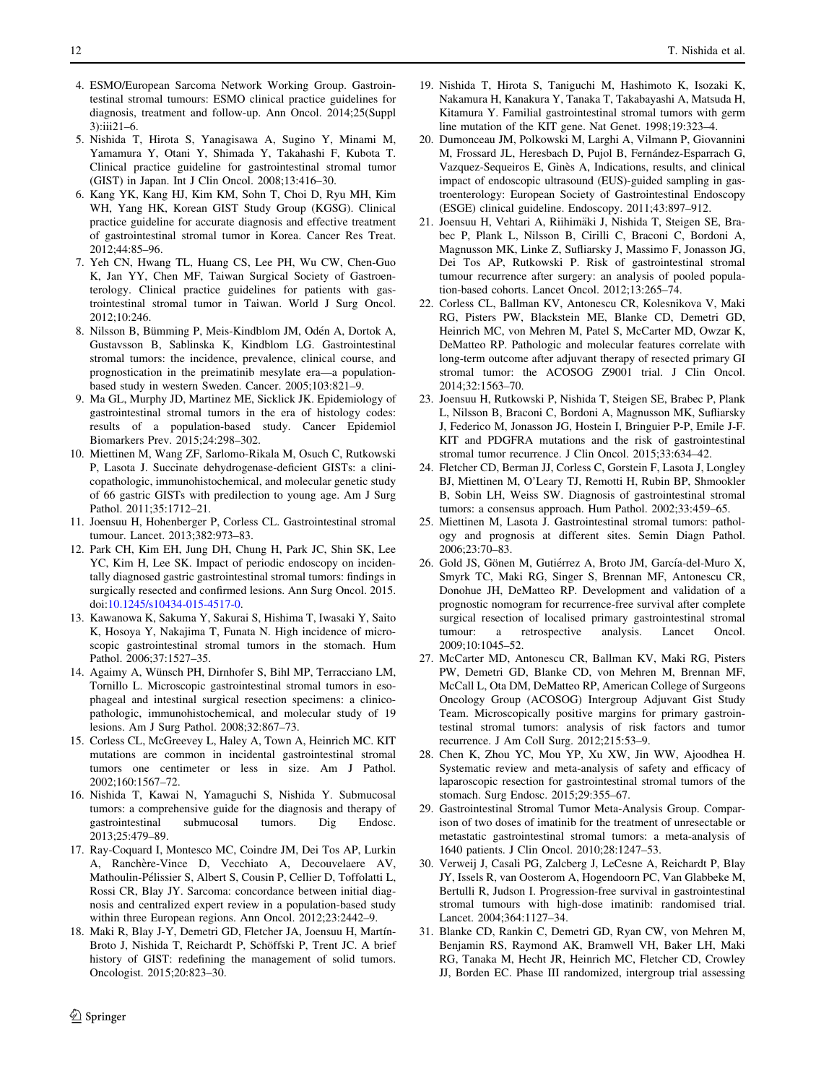- <span id="page-9-0"></span>4. ESMO/European Sarcoma Network Working Group. Gastrointestinal stromal tumours: ESMO clinical practice guidelines for diagnosis, treatment and follow-up. Ann Oncol. 2014;25(Suppl 3):iii21–6.
- 5. Nishida T, Hirota S, Yanagisawa A, Sugino Y, Minami M, Yamamura Y, Otani Y, Shimada Y, Takahashi F, Kubota T. Clinical practice guideline for gastrointestinal stromal tumor (GIST) in Japan. Int J Clin Oncol. 2008;13:416–30.
- 6. Kang YK, Kang HJ, Kim KM, Sohn T, Choi D, Ryu MH, Kim WH, Yang HK, Korean GIST Study Group (KGSG). Clinical practice guideline for accurate diagnosis and effective treatment of gastrointestinal stromal tumor in Korea. Cancer Res Treat. 2012;44:85–96.
- 7. Yeh CN, Hwang TL, Huang CS, Lee PH, Wu CW, Chen-Guo K, Jan YY, Chen MF, Taiwan Surgical Society of Gastroenterology. Clinical practice guidelines for patients with gastrointestinal stromal tumor in Taiwan. World J Surg Oncol. 2012;10:246.
- 8. Nilsson B, Bümming P, Meis-Kindblom JM, Odén A, Dortok A, Gustavsson B, Sablinska K, Kindblom LG. Gastrointestinal stromal tumors: the incidence, prevalence, clinical course, and prognostication in the preimatinib mesylate era—a populationbased study in western Sweden. Cancer. 2005;103:821–9.
- 9. Ma GL, Murphy JD, Martinez ME, Sicklick JK. Epidemiology of gastrointestinal stromal tumors in the era of histology codes: results of a population-based study. Cancer Epidemiol Biomarkers Prev. 2015;24:298–302.
- 10. Miettinen M, Wang ZF, Sarlomo-Rikala M, Osuch C, Rutkowski P, Lasota J. Succinate dehydrogenase-deficient GISTs: a clinicopathologic, immunohistochemical, and molecular genetic study of 66 gastric GISTs with predilection to young age. Am J Surg Pathol. 2011;35:1712–21.
- 11. Joensuu H, Hohenberger P, Corless CL. Gastrointestinal stromal tumour. Lancet. 2013;382:973–83.
- 12. Park CH, Kim EH, Jung DH, Chung H, Park JC, Shin SK, Lee YC, Kim H, Lee SK. Impact of periodic endoscopy on incidentally diagnosed gastric gastrointestinal stromal tumors: findings in surgically resected and confirmed lesions. Ann Surg Oncol. 2015. doi:[10.1245/s10434-015-4517-0.](http://dx.doi.org/10.1245/s10434-015-4517-0)
- 13. Kawanowa K, Sakuma Y, Sakurai S, Hishima T, Iwasaki Y, Saito K, Hosoya Y, Nakajima T, Funata N. High incidence of microscopic gastrointestinal stromal tumors in the stomach. Hum Pathol. 2006;37:1527–35.
- 14. Agaimy A, Wünsch PH, Dirnhofer S, Bihl MP, Terracciano LM, Tornillo L. Microscopic gastrointestinal stromal tumors in esophageal and intestinal surgical resection specimens: a clinicopathologic, immunohistochemical, and molecular study of 19 lesions. Am J Surg Pathol. 2008;32:867–73.
- 15. Corless CL, McGreevey L, Haley A, Town A, Heinrich MC. KIT mutations are common in incidental gastrointestinal stromal tumors one centimeter or less in size. Am J Pathol. 2002;160:1567–72.
- 16. Nishida T, Kawai N, Yamaguchi S, Nishida Y. Submucosal tumors: a comprehensive guide for the diagnosis and therapy of gastrointestinal submucosal tumors. Dig Endosc. 2013;25:479–89.
- 17. Ray-Coquard I, Montesco MC, Coindre JM, Dei Tos AP, Lurkin A, Ranchère-Vince D, Vecchiato A, Decouvelaere AV, Mathoulin-Pélissier S, Albert S, Cousin P, Cellier D, Toffolatti L, Rossi CR, Blay JY. Sarcoma: concordance between initial diagnosis and centralized expert review in a population-based study within three European regions. Ann Oncol. 2012;23:2442–9.
- 18. Maki R, Blay J-Y, Demetri GD, Fletcher JA, Joensuu H, Martín-Broto J, Nishida T, Reichardt P, Schöffski P, Trent JC. A brief history of GIST: redefining the management of solid tumors. Oncologist. 2015;20:823–30.
- 19. Nishida T, Hirota S, Taniguchi M, Hashimoto K, Isozaki K, Nakamura H, Kanakura Y, Tanaka T, Takabayashi A, Matsuda H, Kitamura Y. Familial gastrointestinal stromal tumors with germ line mutation of the KIT gene. Nat Genet. 1998;19:323–4.
- 20. Dumonceau JM, Polkowski M, Larghi A, Vilmann P, Giovannini M, Frossard JL, Heresbach D, Pujol B, Fernández-Esparrach G, Vazquez-Sequeiros E, Ginès A, Indications, results, and clinical impact of endoscopic ultrasound (EUS)-guided sampling in gastroenterology: European Society of Gastrointestinal Endoscopy (ESGE) clinical guideline. Endoscopy. 2011;43:897–912.
- 21. Joensuu H, Vehtari A, Riihimäki J, Nishida T, Steigen SE, Brabec P, Plank L, Nilsson B, Cirilli C, Braconi C, Bordoni A, Magnusson MK, Linke Z, Sufliarsky J, Massimo F, Jonasson JG, Dei Tos AP, Rutkowski P. Risk of gastrointestinal stromal tumour recurrence after surgery: an analysis of pooled population-based cohorts. Lancet Oncol. 2012;13:265–74.
- 22. Corless CL, Ballman KV, Antonescu CR, Kolesnikova V, Maki RG, Pisters PW, Blackstein ME, Blanke CD, Demetri GD, Heinrich MC, von Mehren M, Patel S, McCarter MD, Owzar K, DeMatteo RP. Pathologic and molecular features correlate with long-term outcome after adjuvant therapy of resected primary GI stromal tumor: the ACOSOG Z9001 trial. J Clin Oncol. 2014;32:1563–70.
- 23. Joensuu H, Rutkowski P, Nishida T, Steigen SE, Brabec P, Plank L, Nilsson B, Braconi C, Bordoni A, Magnusson MK, Sufliarsky J, Federico M, Jonasson JG, Hostein I, Bringuier P-P, Emile J-F. KIT and PDGFRA mutations and the risk of gastrointestinal stromal tumor recurrence. J Clin Oncol. 2015;33:634–42.
- 24. Fletcher CD, Berman JJ, Corless C, Gorstein F, Lasota J, Longley BJ, Miettinen M, O'Leary TJ, Remotti H, Rubin BP, Shmookler B, Sobin LH, Weiss SW. Diagnosis of gastrointestinal stromal tumors: a consensus approach. Hum Pathol. 2002;33:459–65.
- 25. Miettinen M, Lasota J. Gastrointestinal stromal tumors: pathology and prognosis at different sites. Semin Diagn Pathol. 2006;23:70–83.
- 26. Gold JS, Gönen M, Gutiérrez A, Broto JM, García-del-Muro X, Smyrk TC, Maki RG, Singer S, Brennan MF, Antonescu CR, Donohue JH, DeMatteo RP. Development and validation of a prognostic nomogram for recurrence-free survival after complete surgical resection of localised primary gastrointestinal stromal tumour: a retrospective analysis. Lancet Oncol. 2009;10:1045–52.
- 27. McCarter MD, Antonescu CR, Ballman KV, Maki RG, Pisters PW, Demetri GD, Blanke CD, von Mehren M, Brennan MF, McCall L, Ota DM, DeMatteo RP, American College of Surgeons Oncology Group (ACOSOG) Intergroup Adjuvant Gist Study Team. Microscopically positive margins for primary gastrointestinal stromal tumors: analysis of risk factors and tumor recurrence. J Am Coll Surg. 2012;215:53–9.
- 28. Chen K, Zhou YC, Mou YP, Xu XW, Jin WW, Ajoodhea H. Systematic review and meta-analysis of safety and efficacy of laparoscopic resection for gastrointestinal stromal tumors of the stomach. Surg Endosc. 2015;29:355–67.
- 29. Gastrointestinal Stromal Tumor Meta-Analysis Group. Comparison of two doses of imatinib for the treatment of unresectable or metastatic gastrointestinal stromal tumors: a meta-analysis of 1640 patients. J Clin Oncol. 2010;28:1247–53.
- 30. Verweij J, Casali PG, Zalcberg J, LeCesne A, Reichardt P, Blay JY, Issels R, van Oosterom A, Hogendoorn PC, Van Glabbeke M, Bertulli R, Judson I. Progression-free survival in gastrointestinal stromal tumours with high-dose imatinib: randomised trial. Lancet. 2004;364:1127–34.
- 31. Blanke CD, Rankin C, Demetri GD, Ryan CW, von Mehren M, Benjamin RS, Raymond AK, Bramwell VH, Baker LH, Maki RG, Tanaka M, Hecht JR, Heinrich MC, Fletcher CD, Crowley JJ, Borden EC. Phase III randomized, intergroup trial assessing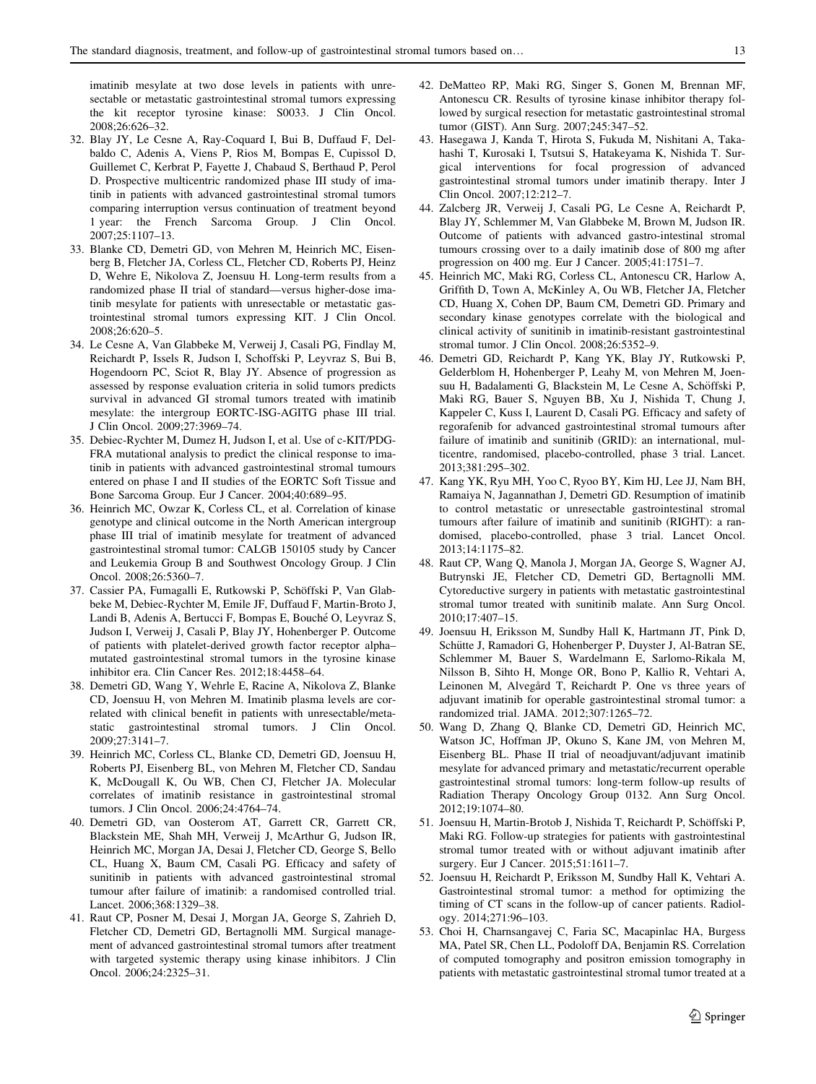<span id="page-10-0"></span>imatinib mesylate at two dose levels in patients with unresectable or metastatic gastrointestinal stromal tumors expressing the kit receptor tyrosine kinase: S0033. J Clin Oncol. 2008;26:626–32.

- 32. Blay JY, Le Cesne A, Ray-Coquard I, Bui B, Duffaud F, Delbaldo C, Adenis A, Viens P, Rios M, Bompas E, Cupissol D, Guillemet C, Kerbrat P, Fayette J, Chabaud S, Berthaud P, Perol D. Prospective multicentric randomized phase III study of imatinib in patients with advanced gastrointestinal stromal tumors comparing interruption versus continuation of treatment beyond 1 year: the French Sarcoma Group. J Clin Oncol. 2007;25:1107–13.
- 33. Blanke CD, Demetri GD, von Mehren M, Heinrich MC, Eisenberg B, Fletcher JA, Corless CL, Fletcher CD, Roberts PJ, Heinz D, Wehre E, Nikolova Z, Joensuu H. Long-term results from a randomized phase II trial of standard—versus higher-dose imatinib mesylate for patients with unresectable or metastatic gastrointestinal stromal tumors expressing KIT. J Clin Oncol. 2008;26:620–5.
- 34. Le Cesne A, Van Glabbeke M, Verweij J, Casali PG, Findlay M, Reichardt P, Issels R, Judson I, Schoffski P, Leyvraz S, Bui B, Hogendoorn PC, Sciot R, Blay JY. Absence of progression as assessed by response evaluation criteria in solid tumors predicts survival in advanced GI stromal tumors treated with imatinib mesylate: the intergroup EORTC-ISG-AGITG phase III trial. J Clin Oncol. 2009;27:3969–74.
- 35. Debiec-Rychter M, Dumez H, Judson I, et al. Use of c-KIT/PDG-FRA mutational analysis to predict the clinical response to imatinib in patients with advanced gastrointestinal stromal tumours entered on phase I and II studies of the EORTC Soft Tissue and Bone Sarcoma Group. Eur J Cancer. 2004;40:689–95.
- 36. Heinrich MC, Owzar K, Corless CL, et al. Correlation of kinase genotype and clinical outcome in the North American intergroup phase III trial of imatinib mesylate for treatment of advanced gastrointestinal stromal tumor: CALGB 150105 study by Cancer and Leukemia Group B and Southwest Oncology Group. J Clin Oncol. 2008;26:5360–7.
- 37. Cassier PA, Fumagalli E, Rutkowski P, Schöffski P, Van Glabbeke M, Debiec-Rychter M, Emile JF, Duffaud F, Martin-Broto J, Landi B, Adenis A, Bertucci F, Bompas E, Bouché O, Leyvraz S, Judson I, Verweij J, Casali P, Blay JY, Hohenberger P. Outcome of patients with platelet-derived growth factor receptor alpha– mutated gastrointestinal stromal tumors in the tyrosine kinase inhibitor era. Clin Cancer Res. 2012;18:4458–64.
- 38. Demetri GD, Wang Y, Wehrle E, Racine A, Nikolova Z, Blanke CD, Joensuu H, von Mehren M. Imatinib plasma levels are correlated with clinical benefit in patients with unresectable/metastatic gastrointestinal stromal tumors. J Clin Oncol. 2009;27:3141–7.
- 39. Heinrich MC, Corless CL, Blanke CD, Demetri GD, Joensuu H, Roberts PJ, Eisenberg BL, von Mehren M, Fletcher CD, Sandau K, McDougall K, Ou WB, Chen CJ, Fletcher JA. Molecular correlates of imatinib resistance in gastrointestinal stromal tumors. J Clin Oncol. 2006;24:4764–74.
- 40. Demetri GD, van Oosterom AT, Garrett CR, Garrett CR, Blackstein ME, Shah MH, Verweij J, McArthur G, Judson IR, Heinrich MC, Morgan JA, Desai J, Fletcher CD, George S, Bello CL, Huang X, Baum CM, Casali PG. Efficacy and safety of sunitinib in patients with advanced gastrointestinal stromal tumour after failure of imatinib: a randomised controlled trial. Lancet. 2006;368:1329–38.
- 41. Raut CP, Posner M, Desai J, Morgan JA, George S, Zahrieh D, Fletcher CD, Demetri GD, Bertagnolli MM. Surgical management of advanced gastrointestinal stromal tumors after treatment with targeted systemic therapy using kinase inhibitors. J Clin Oncol. 2006;24:2325–31.
- 42. DeMatteo RP, Maki RG, Singer S, Gonen M, Brennan MF, Antonescu CR. Results of tyrosine kinase inhibitor therapy followed by surgical resection for metastatic gastrointestinal stromal tumor (GIST). Ann Surg. 2007;245:347–52.
- 43. Hasegawa J, Kanda T, Hirota S, Fukuda M, Nishitani A, Takahashi T, Kurosaki I, Tsutsui S, Hatakeyama K, Nishida T. Surgical interventions for focal progression of advanced gastrointestinal stromal tumors under imatinib therapy. Inter J Clin Oncol. 2007;12:212–7.
- 44. Zalcberg JR, Verweij J, Casali PG, Le Cesne A, Reichardt P, Blay JY, Schlemmer M, Van Glabbeke M, Brown M, Judson IR. Outcome of patients with advanced gastro-intestinal stromal tumours crossing over to a daily imatinib dose of 800 mg after progression on 400 mg. Eur J Cancer. 2005;41:1751–7.
- 45. Heinrich MC, Maki RG, Corless CL, Antonescu CR, Harlow A, Griffith D, Town A, McKinley A, Ou WB, Fletcher JA, Fletcher CD, Huang X, Cohen DP, Baum CM, Demetri GD. Primary and secondary kinase genotypes correlate with the biological and clinical activity of sunitinib in imatinib-resistant gastrointestinal stromal tumor. J Clin Oncol. 2008;26:5352–9.
- 46. Demetri GD, Reichardt P, Kang YK, Blay JY, Rutkowski P, Gelderblom H, Hohenberger P, Leahy M, von Mehren M, Joensuu H, Badalamenti G, Blackstein M, Le Cesne A, Schöffski P, Maki RG, Bauer S, Nguyen BB, Xu J, Nishida T, Chung J, Kappeler C, Kuss I, Laurent D, Casali PG. Efficacy and safety of regorafenib for advanced gastrointestinal stromal tumours after failure of imatinib and sunitinib (GRID): an international, multicentre, randomised, placebo-controlled, phase 3 trial. Lancet. 2013;381:295–302.
- 47. Kang YK, Ryu MH, Yoo C, Ryoo BY, Kim HJ, Lee JJ, Nam BH, Ramaiya N, Jagannathan J, Demetri GD. Resumption of imatinib to control metastatic or unresectable gastrointestinal stromal tumours after failure of imatinib and sunitinib (RIGHT): a randomised, placebo-controlled, phase 3 trial. Lancet Oncol. 2013;14:1175–82.
- 48. Raut CP, Wang Q, Manola J, Morgan JA, George S, Wagner AJ, Butrynski JE, Fletcher CD, Demetri GD, Bertagnolli MM. Cytoreductive surgery in patients with metastatic gastrointestinal stromal tumor treated with sunitinib malate. Ann Surg Oncol. 2010;17:407–15.
- 49. Joensuu H, Eriksson M, Sundby Hall K, Hartmann JT, Pink D, Schütte J, Ramadori G, Hohenberger P, Duyster J, Al-Batran SE, Schlemmer M, Bauer S, Wardelmann E, Sarlomo-Rikala M, Nilsson B, Sihto H, Monge OR, Bono P, Kallio R, Vehtari A, Leinonen M, Alvegård T, Reichardt P. One vs three years of adjuvant imatinib for operable gastrointestinal stromal tumor: a randomized trial. JAMA. 2012;307:1265–72.
- 50. Wang D, Zhang Q, Blanke CD, Demetri GD, Heinrich MC, Watson JC, Hoffman JP, Okuno S, Kane JM, von Mehren M, Eisenberg BL. Phase II trial of neoadjuvant/adjuvant imatinib mesylate for advanced primary and metastatic/recurrent operable gastrointestinal stromal tumors: long-term follow-up results of Radiation Therapy Oncology Group 0132. Ann Surg Oncol. 2012;19:1074–80.
- 51. Joensuu H, Martin-Brotob J, Nishida T, Reichardt P, Schöffski P, Maki RG. Follow-up strategies for patients with gastrointestinal stromal tumor treated with or without adjuvant imatinib after surgery. Eur J Cancer. 2015;51:1611–7.
- 52. Joensuu H, Reichardt P, Eriksson M, Sundby Hall K, Vehtari A. Gastrointestinal stromal tumor: a method for optimizing the timing of CT scans in the follow-up of cancer patients. Radiology. 2014;271:96–103.
- 53. Choi H, Charnsangavej C, Faria SC, Macapinlac HA, Burgess MA, Patel SR, Chen LL, Podoloff DA, Benjamin RS. Correlation of computed tomography and positron emission tomography in patients with metastatic gastrointestinal stromal tumor treated at a